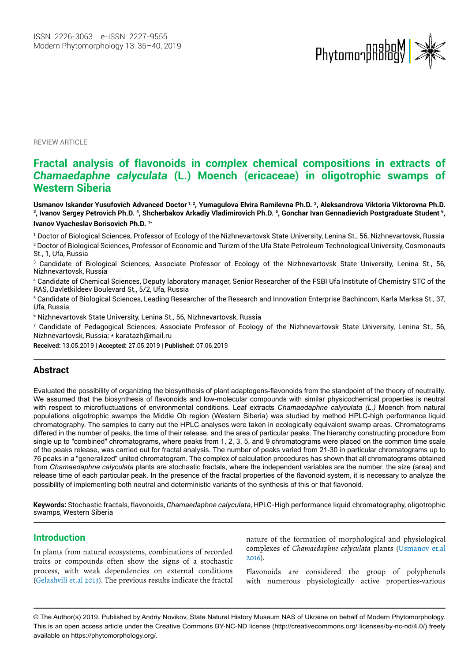

**REVIEW ARTICLE** 

# **Fractal analysis of flavonoids in co***mp***lex chemical compositions in extracts of**  *Chamaedaphne calyculata* **(L.) Moench (ericaceae) in oligotrophic swamps of Western Siberia**

**Usmanov Iskander Yusufovich Advanced Doctor 1, 2, Yumagulova Elvira Ramilevna Ph.D. 3, Aleksandrova Viktoria Viktorovna Ph.D. 3 , Ivanov Sergey Petrovich Ph.D. <sup>4</sup> , Shcherbakov Arkadiy Vladimirovich Ph.D. <sup>5</sup> , Gonchar Ivan Gennadievich Postgraduate Student <sup>6</sup> , Ivanov Vyacheslav Borisovich Ph.D. 7\***

1 Doctor of Biological Sciences, Professor of Ecology of the Nizhnevartovsk State University, Lenina St., 56, Nizhnevartovsk, Russia 2 Doctor of Biological Sciences, Professor of Economic and Turizm of the Ufa State Petroleum Technological University, Cosmonauts St., 1, Ufa, Russia

3 Candidate of Biological Sciences, Associate Professor of Ecology of the Nizhnevartovsk State University, Lenina St., 56, Nizhnevartovsk, Russia

4 Candidate of Chemical Sciences, Deputy laboratory manager, Senior Researcher of the FSBI Ufa Institute of Chemistry STC of the RAS, Davletkildeev Boulevard St., 5/2, Ufa, Russia

5 Candidate of Biological Sciences, Leading Researcher of the Research and Innovation Enterprise Bachincom, Karla Marksa St., 37, Ufa, Russia

 $^{\rm 6}$  Nizhnevartovsk State University, Lenina St., 56, Nizhnevartovsk, Russia

7 Candidate of Pedagogical Sciences, Associate Professor of Ecology of the Nizhnevartovsk State University, Lenina St., 56, Nizhnevartovsk, Russia; \* karatazh@mail.ru

**Received:** 13.05.2019 | **Accepted:** 27.05.2019 | **Published:** 07.06.2019

#### **Abstract**

Evaluated the possibility of organizing the biosynthesis of plant adaptogens-flavonoids from the standpoint of the theory of neutrality. We assumed that the biosynthesis of flavonoids and low-molecular compounds with similar physicochemical properties is neutral with respect to microfluctuations of environmental conditions. Leaf extracts *Chamaedaphne calyculata (L.)* Moench from natural populations oligotrophic swamps the Middle Ob region (Western Siberia) was studied by method HPLC-high performance liquid chromatography. The samples to carry out the HPLC analyses were taken in ecologically equivalent swamp areas. Chromatograms differed in the number of peaks, the time of their release, and the area of particular peaks. The hierarchy constructing procedure from single up to "combined" chromatograms, where peaks from 1, 2, 3, 5, and 9 chromatograms were placed on the common time scale of the peaks release, was carried out for fractal analysis. The number of peaks varied from 21-30 in particular chromatograms up to 76 peaks in a "generalized" united chromatogram. The complex of calculation procedures has shown that all chromatograms obtained from *Chamaedaphne calyculata* plants are stochastic fractals, where the independent variables are the number, the size (area) and release time of each particular peak. In the presence of the fractal properties of the flavonoid system, it is necessary to analyze the possibility of implementing both neutral and deterministic variants of the synthesis of this or that flavonoid.

**Keywords:** Stochastic fractals, flavonoids, *Chamaedaphne calyculata*, HPLC-High performance liquid chromatography, oligotrophic swamps, Western Siberia

#### **Introduction**

In plants from natural ecosystems, combinations of recorded traits or compounds often show the signs of a stochastic process, with weak dependencies on external conditions (Gelashvili et.al 2013). The previous results indicate the fractal nature of the formation of morphological and physiological complexes of *Chamaedaphne calyculata* plants (Usmanov et.al 2016).

Flavonoids are considered the group of polyphenols with numerous physiologically active properties-various

<sup>©</sup> The Author(s) 2019. Published by Andriy Novikov, State Natural History Museum NAS of Ukraine on behalf of Modern Phytomorphology. This is an open access article under the Creative Commons BY-NC-ND license (http://creativecommons.org/ licenses/by-nc-nd/4.0/) freely available on https://phytomorphology.org/.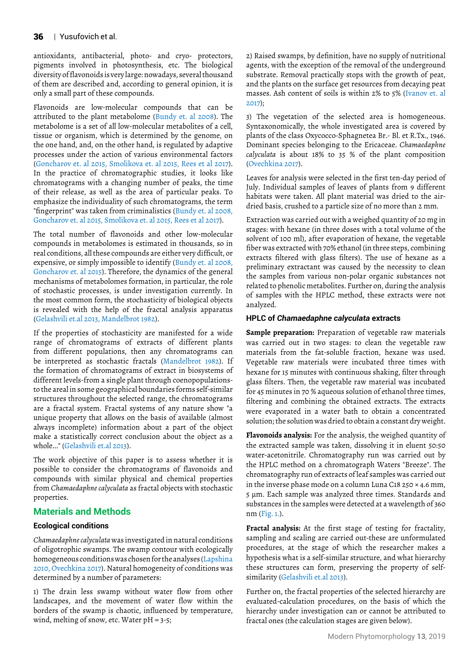antioxidants, antibacterial, photo- and cryo- protectors, pigments involved in photosynthesis, etc. The biological diversity of flavonoids is very large: nowadays, several thousand of them are described and, according to general opinion, it is only a small part of these compounds.

Flavonoids are low-molecular compounds that can be attributed to the plant metabolome (Bundy et. al 2008). The metabolome is a set of all low-molecular metabolites of a cell, tissue or organism, which is determined by the genome, on the one hand, and, on the other hand, is regulated by adaptive processes under the action of various environmental factors (Goncharov et. al 2015, Smolikova et. al 2015, Rees et al 2017). In the practice of chromatographic studies, it looks like chromatograms with a changing number of peaks, the time of their release, as well as the area of particular peaks. To emphasize the individuality of such chromatograms, the term "fingerprint" was taken from criminalistics (Bundy et. al 2008, Goncharov et. al 2015, Smolikova et. al 2015, Rees et al 2017).

The total number of flavonoids and other low-molecular compounds in metabolomes is estimated in thousands, so in real conditions, all these compounds are either very difficult, or expensive, or simply impossible to identify (Bundy et. al 2008, Goncharov et. al 2015). Therefore, the dynamics of the general mechanisms of metabolomes formation, in particular, the role of stochastic processes, is under investigation currently. In the most common form, the stochasticity of biological objects is revealed with the help of the fractal analysis apparatus (Gelashvili et.al 2013, Mandelbrot 1982).

If the properties of stochasticity are manifested for a wide range of chromatograms of extracts of different plants from different populations, then any chromatograms can be interpreted as stochastic fractals (Mandelbrot 1982). If the formation of chromatograms of extract in biosystems of different levels-from a single plant through coenopopulationsto the areal in some geographical boundaries forms self-similar structures throughout the selected range, the chromatograms are a fractal system. Fractal systems of any nature show "a unique property that allows on the basis of available (almost always incomplete) information about a part of the object make a statistically correct conclusion about the object as a whole..." (Gelashvili et.al 2013).

The work objective of this paper is to assess whether it is possible to consider the chromatograms of flavonoids and compounds with similar physical and chemical properties from *Chamaedaphne calyculata* as fractal objects with stochastic properties.

## **Materials and Methods**

#### **Ecological conditions**

*Chamaedaphne calyculata* was investigated in natural conditions of oligotrophic swamps. The swamp contour with ecologically homogeneous conditions was chosen for the analyses (Lapshina 2010, Ovechkina 2017). Natural homogeneity of conditions was determined by a number of parameters:

1) The drain less swamp without water flow from other landscapes, and the movement of water flow within the borders of the swamp is chaotic, influenced by temperature, wind, melting of snow, etc. Water  $pH = 3-5$ ;

2) Raised swamps, by definition, have no supply of nutritional agents, with the exception of the removal of the underground substrate. Removal practically stops with the growth of peat, and the plants on the surface get resources from decaying peat masses. Ash content of soils is within 2% to 5% (Ivanov et. al 2017);

3) The vegetation of the selected area is homogeneous. Syntaxonomically, the whole investigated area is covered by plants of the class Oxycocco-Sphagnetea Br.- Bl. et R.Tx., 1946. Dominant species belonging to the Ericaceae. *Chamaedaphne calyculata* is about 18% to 35 % of the plant composition (Ovechkina 2017).

Leaves for analysis were selected in the first ten-day period of July. Individual samples of leaves of plants from 9 different habitats were taken. All plant material was dried to the airdried basis, crushed to a particle size of no more than 2 mm.

Extraction was carried out with a weighed quantity of 20 mg in stages: with hexane (in three doses with a total volume of the solvent of 100 ml), after evaporation of hexane, the vegetable fiber was extracted with 70% ethanol (in three steps, combining extracts filtered with glass filters). The use of hexane as a preliminary extractant was caused by the necessity to clean the samples from various non-polar organic substances not related to phenolic metabolites. Further on, during the analysis of samples with the HPLC method, these extracts were not analyzed.

#### **HPLC of** *Chamaedaphne calyculata* **extracts**

**Sample preparation:** Preparation of vegetable raw materials was carried out in two stages: to clean the vegetable raw materials from the fat-soluble fraction, hexane was used. Vegetable raw materials were incubated three times with hexane for 15 minutes with continuous shaking, filter through glass filters. Then, the vegetable raw material was incubated for 45 minutes in 70 % aqueous solution of ethanol three times, filtering and combining the obtained extracts. The extracts were evaporated in a water bath to obtain a concentrated solution; the solution was dried to obtain a constant dry weight.

**Flavonoids analysis:** For the analysis, the weighed quantity of the extracted sample was taken, dissolving it in eluent 50:50 water-acetonitrile. Chromatography run was carried out by the HPLC method on a chromatograph Waters "Breeze". The chromatography run of extracts of leaf samples was carried out in the inverse phase mode on a column Luna C18 250 × 4.6 mm, 5 μm. Each sample was analyzed three times. Standards and substances in the samples were detected at a wavelength of 360 nm (Fig. 1.).

**Fractal analysis:** At the first stage of testing for fractality, sampling and scaling are carried out-these are unformulated procedures, at the stage of which the researcher makes a hypothesis what is a self-similar structure, and what hierarchy these structures can form, preserving the property of selfsimilarity (Gelashvili et.al 2013).

Further on, the fractal properties of the selected hierarchy are evaluated-calculation procedures, on the basis of which the hierarchy under investigation can or cannot be attributed to fractal ones (the calculation stages are given below).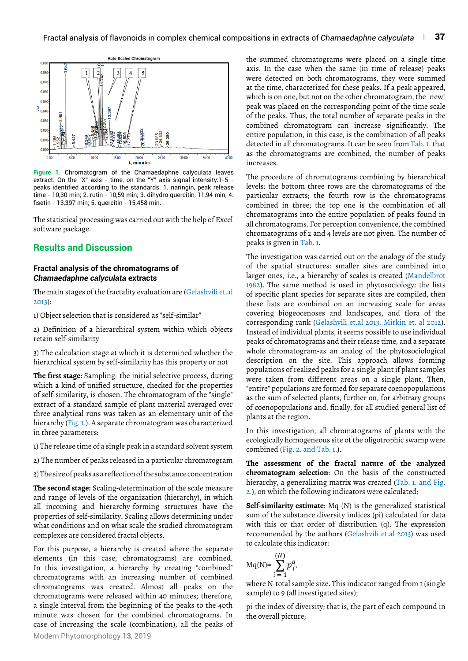

**Figure 1.** Chromatogram of the Chamaedaphne calyculata leaves extract. On the "X" axis - time, on the "Y" axis signal intensity.1-5 peaks identified according to the standards. 1. naringin, peak release time - 10,30 min; 2. rutin - 10,59 min; 3. dihydro quercitin, 11,94 min; 4. fisetin - 13,397 min; 5. quercitin - 15,458 min.

The statistical processing was carried out with the help of Excel software package.

### **Results and Discussion**

#### **Fractal analysis of the chromatograms of**  *Chamaedaphne calyculata* **extracts**

The main stages of the fractality evaluation are (Gelashvili et.al 2013):

1) Object selection that is considered as "self-similar"

2) Definition of a hierarchical system within which objects retain self-similarity

3) The calculation stage at which it is determined whether the hierarchical system by self-similarity has this property or not

**The first stage:** Sampling- the initial selective process, during which a kind of unified structure, checked for the properties of self-similarity, is chosen. The chromatogram of the "single" extract of a standard sample of plant material averaged over three analytical runs was taken as an elementary unit of the hierarchy (Fig. 1.). A separate chromatogram was characterized in three parameters:

1) The release time of a single peak in a standard solvent system

2) The number of peaks released in a particular chromatogram

3) The size of peaks as a reflection of the substance concentration

**The second stage:** Scaling-determination of the scale measure and range of levels of the organization (hierarchy), in which all incoming and hierarchy-forming structures have the properties of self-similarity. Scaling allows determining under what conditions and on what scale the studied chromatogram complexes are considered fractal objects.

Modern Phytomorphology **13**, 2019 For this purpose, a hierarchy is created where the separate elements (in this case, chromatograms) are combined. In this investigation, a hierarchy by creating "combined" chromatograms with an increasing number of combined chromatograms was created. Almost all peaks on the chromatograms were released within 40 minutes; therefore, a single interval from the beginning of the peaks to the 40th minute was chosen for the combined chromatograms. In case of increasing the scale (combination), all the peaks of the summed chromatograms were placed on a single time axis. In the case when the same (in time of release) peaks were detected on both chromatograms, they were summed at the time, characterized for these peaks. If a peak appeared, which is on one, but not on the other chromatogram, the "new" peak was placed on the corresponding point of the time scale of the peaks. Thus, the total number of separate peaks in the combined chromatogram can increase significantly. The entire population, in this case, is the combination of all peaks detected in all chromatograms. It can be seen from Tab. 1. that as the chromatograms are combined, the number of peaks increases.

The procedure of chromatograms combining by hierarchical levels: the bottom three rows are the chromatograms of the particular extracts; the fourth row is the chromatograms combined in three; the top one is the combination of all chromatograms into the entire population of peaks found in all chromatograms. For perception convenience, the combined chromatograms of 2 and 4 levels are not given. The number of peaks is given in Tab. 1.

The investigation was carried out on the analogy of the study of the spatial structures: smaller sites are combined into larger ones, i.e., a hierarchy of scales is created (Mandelbrot 1982). The same method is used in phytosociology: the lists of specific plant species for separate sites are compiled, then these lists are combined on an increasing scale for areas covering biogeocenoses and landscapes, and flora of the corresponding rank (Gelashvili et.al 2013, Mirkin et. al 2012). Instead of individual plants, it seems possible to use individual peaks of chromatograms and their release time, and a separate whole chromatogram-as an analog of the phytosociological description on the site. This approach allows forming populations of realized peaks for a single plant if plant samples were taken from different areas on a single plant. Then, "entire" populations are formed for separate coenopopulations as the sum of selected plants, further on, for arbitrary groups of coenopopulations and, finally, for all studied general list of plants at the region.

In this investigation, all chromatograms of plants with the ecologically homogeneous site of the oligotrophic swamp were combined (Fig. 2. and Tab. 1.).

**The assessment of the fractal nature of the analyzed chromatogram selection**: On the basis of the constructed hierarchy, a generalizing matrix was created (Tab. 1. and Fig. 2.), on which the following indicators were calculated:

**Self-similarity estimate**: Mq (N) is the generalized statistical sum of the substance diversity indices (pi) calculated for data with this or that order of distribution (q). The expression recommended by the authors (Gelashvili et.al 2013) was used to calculate this indicator:

$$
Mq(N)=\sum_{i=1}^{(N)}p_i^q,
$$

where N-total sample size. This indicator ranged from 1 (single sample) to 9 (all investigated sites);

pi-the index of diversity; that is, the part of each compound in the overall picture;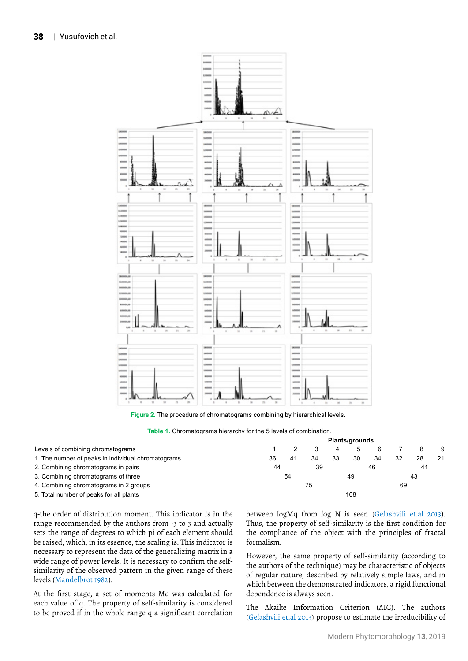

**Figure 2.** The procedure of chromatograms combining by hierarchical levels.

**Table 1.** Chromatograms hierarchy for the 5 levels of combination.

|                                                    | <b>Plants/grounds</b> |    |    |    |     |    |    |    |    |
|----------------------------------------------------|-----------------------|----|----|----|-----|----|----|----|----|
| Levels of combining chromatograms                  |                       |    |    |    |     |    |    |    | 9  |
| 1. The number of peaks in individual chromatograms | 36                    | 41 | 34 | 33 | 30  | 34 | 32 | 28 | 21 |
| 2. Combining chromatograms in pairs                | 44                    |    | 39 |    |     | 46 |    | 41 |    |
| 3. Combining chromatograms of three                | 54                    |    | 49 |    |     | 43 |    |    |    |
| 4. Combining chromatograms in 2 groups             | 75<br>69              |    |    |    |     |    |    |    |    |
| 5. Total number of peaks for all plants            |                       |    |    |    | 108 |    |    |    |    |

q-the order of distribution moment. This indicator is in the range recommended by the authors from -3 to 3 and actually sets the range of degrees to which pi of each element should be raised, which, in its essence, the scaling is. This indicator is necessary to represent the data of the generalizing matrix in a wide range of power levels. It is necessary to confirm the selfsimilarity of the observed pattern in the given range of these levels (Mandelbrot 1982).

At the first stage, a set of moments Mq was calculated for each value of q. The property of self-similarity is considered to be proved if in the whole range q a significant correlation

between logMq from log N is seen (Gelashvili et.al 2013). Thus, the property of self-similarity is the first condition for the compliance of the object with the principles of fractal formalism.

However, the same property of self-similarity (according to the authors of the technique) may be characteristic of objects of regular nature, described by relatively simple laws, and in which between the demonstrated indicators, a rigid functional dependence is always seen.

The Akaike Information Criterion (AIC). The authors (Gelashvili et.al 2013) propose to estimate the irreducibility of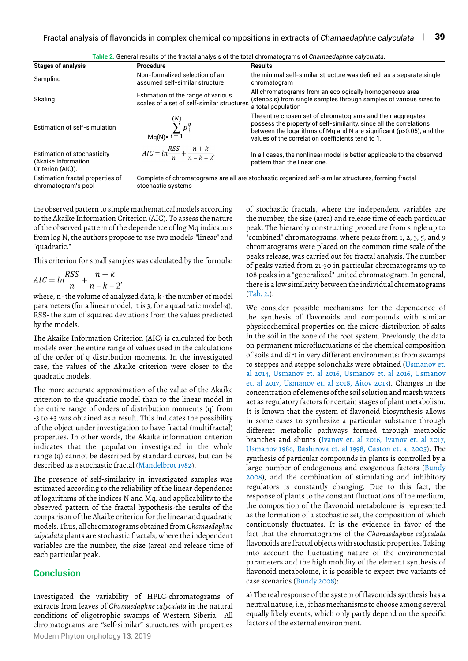| <b>Stages of analysis</b>                                               | Procedure                                                                                                                 | <b>Results</b>                                                                                                                                                                                                                                                 |  |  |  |
|-------------------------------------------------------------------------|---------------------------------------------------------------------------------------------------------------------------|----------------------------------------------------------------------------------------------------------------------------------------------------------------------------------------------------------------------------------------------------------------|--|--|--|
| Sampling                                                                | Non-formalized selection of an<br>assumed self-similar structure                                                          | the minimal self-similar structure was defined as a separate single<br>chromatogram                                                                                                                                                                            |  |  |  |
| Skaling                                                                 | Estimation of the range of various<br>scales of a set of self-similar structures                                          | All chromatograms from an ecologically homogeneous area<br>(stenosis) from single samples through samples of various sizes to<br>a total population                                                                                                            |  |  |  |
| Estimation of self-simulation                                           | $\sum^{(N)} p_i^q$<br>$Mq(N)=i\equiv 1$                                                                                   | The entire chosen set of chromatograms and their aggregates<br>possess the property of self-similarity, since all the correlations<br>between the logarithms of Mg and N are significant (p>0.05), and the<br>values of the correlation coefficients tend to 1 |  |  |  |
| Estimation of stochasticity<br>(Akaike Information<br>Criterion (AIC)). | $AIC = ln\frac{RSS}{n} + \frac{n+k}{n-k-2},$                                                                              | In all cases, the nonlinear model is better applicable to the observed<br>pattern than the linear one.                                                                                                                                                         |  |  |  |
| Estimation fractal properties of<br>chromatogram's pool                 | Complete of chromatograms are all are stochastic organized self-similar structures, forming fractal<br>stochastic systems |                                                                                                                                                                                                                                                                |  |  |  |

**Table 2.** General results of the fractal analysis of the total chromatograms of *Chamaedaphne calyculata.*

the observed pattern to simple mathematical models according to the Akaike Information Criterion (AIC). To assess the nature of the observed pattern of the dependence of log Mq indicators from log N, the authors propose to use two models-"linear" and "quadratic."

This criterion for small samples was calculated by the formula:

$$
AIC = \ln \frac{RSS}{n} + \frac{n+k}{n-k-2},
$$

where, n- the volume of analyzed data, k- the number of model parameters (for a linear model, it is 3, for a quadratic model-4), RSS- the sum of squared deviations from the values predicted by the models.

The Akaike Information Criterion (AIC) is calculated for both models over the entire range of values used in the calculations of the order of q distribution moments. In the investigated case, the values of the Akaike criterion were closer to the quadratic models.

The more accurate approximation of the value of the Akaike criterion to the quadratic model than to the linear model in the entire range of orders of distribution moments (q) from -3 to +3 was obtained as a result. This indicates the possibility of the object under investigation to have fractal (multifractal) properties. In other words, the Akaike information criterion indicates that the population investigated in the whole range (q) cannot be described by standard curves, but can be described as a stochastic fractal (Mandelbrot 1982).

The presence of self-similarity in investigated samples was estimated according to the reliability of the linear dependence of logarithms of the indices N and Mq, and applicability to the observed pattern of the fractal hypothesis-the results of the comparison of the Akaike criterion for the linear and quadratic models. Thus, all chromatograms obtained from *Chamaedaphne calyculata* plants are stochastic fractals, where the independent variables are the number, the size (area) and release time of each particular peak.

#### **Conclusion**

Modern Phytomorphology **13**, 2019 Investigated the variability of HPLC-chromatograms of extracts from leaves of *Chamaedaphne calyculata* in the natural conditions of oligotrophic swamps of Western Siberia. All chromatograms are "self-similar" structures with properties

of stochastic fractals, where the independent variables are the number, the size (area) and release time of each particular peak. The hierarchy constructing procedure from single up to "combined" chromatograms, where peaks from 1, 2, 3, 5, and 9 chromatograms were placed on the common time scale of the peaks release, was carried out for fractal analysis. The number of peaks varied from 21-30 in particular chromatograms up to 108 peaks in a "generalized" united chromatogram. In general, there is a low similarity between the individual chromatograms (Tab. 2.).

We consider possible mechanisms for the dependence of the synthesis of flavonoids and compounds with similar physicochemical properties on the micro-distribution of salts in the soil in the zone of the root system. Previously, the data on permanent microfluctuations of the chemical composition of soils and dirt in very different environments: from swamps to steppes and steppe solonchaks were obtained (Usmanov et. al 2014, Usmanov et. al 2016, Usmanov et. al 2016, Usmanov et. al 2017, Usmanov et. al 2018, Aitov 2013). Changes in the concentration of elements of the soil solution and marsh waters act as regulatory factors for certain stages of plant metabolism. It is known that the system of flavonoid biosynthesis allows in some cases to synthesize a particular substance through different metabolic pathways formed through metabolic branches and shunts (Ivanov et. al 2016, Ivanov et. al 2017, Usmanov 1986, Bashirova et. al 1998, Caston et. al 2005). The synthesis of particular compounds in plants is controlled by a large number of endogenous and exogenous factors (Bundy 2008), and the combination of stimulating and inhibitory regulators is constantly changing. Due to this fact, the response of plants to the constant fluctuations of the medium, the composition of the flavonoid metabolome is represented as the formation of a stochastic set, the composition of which continuously fluctuates. It is the evidence in favor of the fact that the chromatograms of the *Chamaedaphne calyculata* flavonoids are fractal objects with stochastic properties. Taking into account the fluctuating nature of the environmental parameters and the high mobility of the element synthesis of flavonoid metabolome, it is possible to expect two variants of case scenarios (Bundy 2008):

a) The real response of the system of flavonoids synthesis has a neutral nature, i.e., it has mechanisms to choose among several equally likely events, which only partly depend on the specific factors of the external environment.